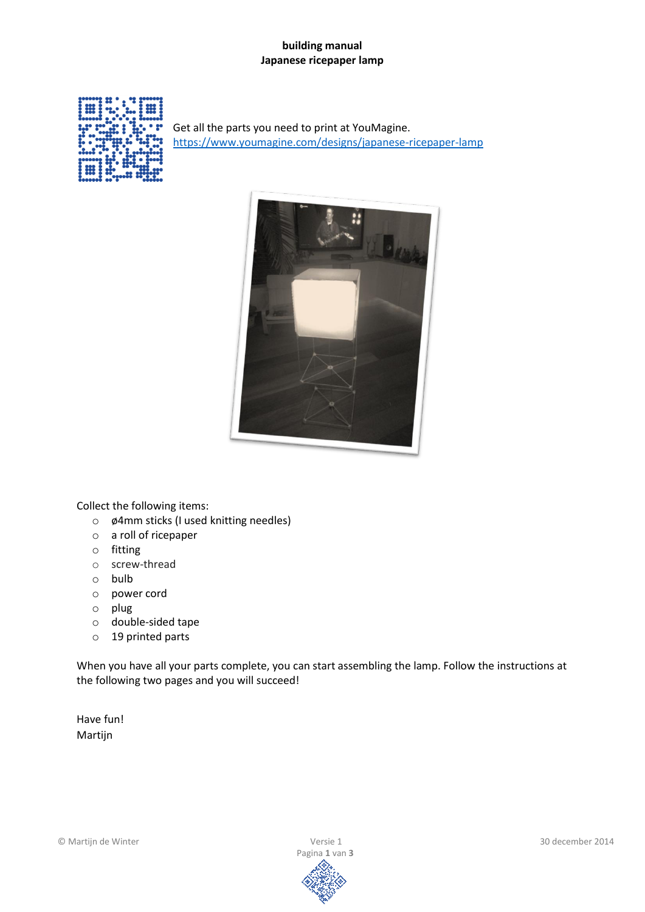## **building manual Japanese ricepaper lamp**



Get all the parts you need to print at YouMagine. <https://www.youmagine.com/designs/japanese-ricepaper-lamp>



Collect the following items:

- o ø4mm sticks (I used knitting needles)
- o a roll of ricepaper
- o fitting
- o screw-thread
- o bulb
- o power cord
- o plug
- o double-sided tape
- o 19 printed parts

When you have all your parts complete, you can start assembling the lamp. Follow the instructions at the following two pages and you will succeed!

Have fun! Martijn

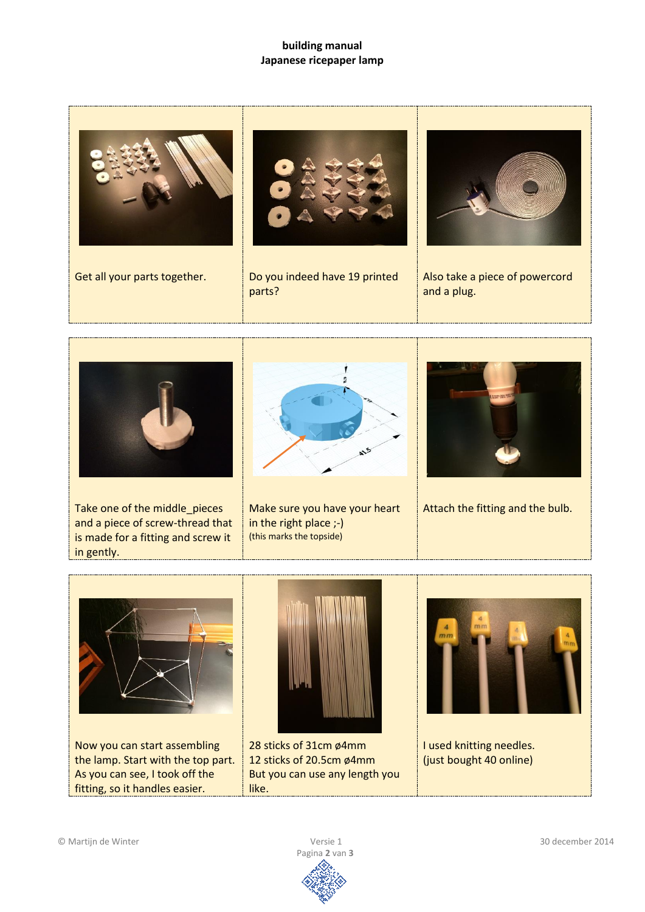## **building manual Japanese ricepaper lamp**





Take one of the middle\_pieces and a piece of screw-thread that is made for a fitting and screw it in gently.



Make sure you have your heart in the right place ;-) (this marks the topside)



Attach the fitting and the bulb.



Now you can start assembling the lamp. Start with the top part. As you can see, I took off the fitting, so it handles easier.



28 sticks of 31cm ø4mm 12 sticks of 20.5cm ø4mm But you can use any length you like.



I used knitting needles. (just bought 40 online)